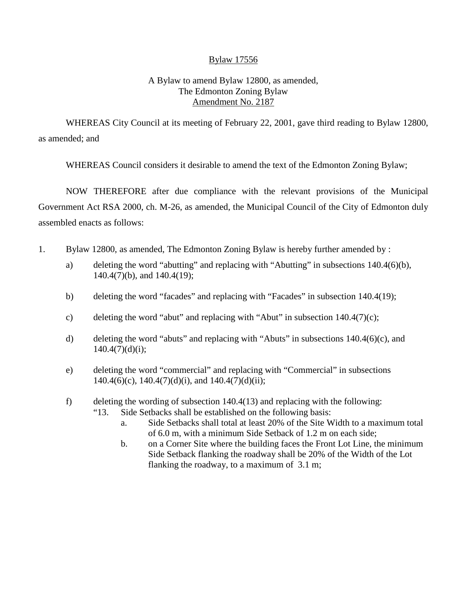# Bylaw 17556

# A Bylaw to amend Bylaw 12800, as amended, The Edmonton Zoning Bylaw Amendment No. 2187

WHEREAS City Council at its meeting of February 22, 2001, gave third reading to Bylaw 12800, as amended; and

WHEREAS Council considers it desirable to amend the text of the Edmonton Zoning Bylaw;

NOW THEREFORE after due compliance with the relevant provisions of the Municipal Government Act RSA 2000, ch. M-26, as amended, the Municipal Council of the City of Edmonton duly assembled enacts as follows:

- 1. Bylaw 12800, as amended, The Edmonton Zoning Bylaw is hereby further amended by :
	- a) deleting the word "abutting" and replacing with "Abutting" in subsections 140.4(6)(b), 140.4(7)(b), and 140.4(19);
	- b) deleting the word "facades" and replacing with "Facades" in subsection 140.4(19);
	- c) deleting the word "abut" and replacing with "Abut" in subsection  $140.4(7)(c)$ ;
	- d) deleting the word "abuts" and replacing with "Abuts" in subsections 140.4(6)(c), and  $140.4(7)(d)(i);$
	- e) deleting the word "commercial" and replacing with "Commercial" in subsections  $140.4(6)(c)$ ,  $140.4(7)(d)(i)$ , and  $140.4(7)(d)(ii)$ ;
	- f) deleting the wording of subsection 140.4(13) and replacing with the following:
		- "13. Side Setbacks shall be established on the following basis:
			- a. Side Setbacks shall total at least 20% of the Site Width to a maximum total of 6.0 m, with a minimum Side Setback of 1.2 m on each side;
			- b. on a Corner Site where the building faces the Front Lot Line, the minimum Side Setback flanking the roadway shall be 20% of the Width of the Lot flanking the roadway, to a maximum of 3.1 m;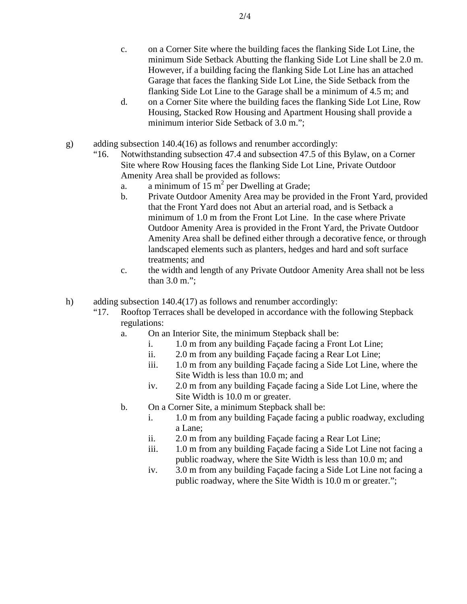- c. on a Corner Site where the building faces the flanking Side Lot Line, the minimum Side Setback Abutting the flanking Side Lot Line shall be 2.0 m. However, if a building facing the flanking Side Lot Line has an attached Garage that faces the flanking Side Lot Line, the Side Setback from the flanking Side Lot Line to the Garage shall be a minimum of 4.5 m; and
- d. on a Corner Site where the building faces the flanking Side Lot Line, Row Housing, Stacked Row Housing and Apartment Housing shall provide a minimum interior Side Setback of 3.0 m.";
- g) adding subsection 140.4(16) as follows and renumber accordingly:
	- "16. Notwithstanding subsection 47.4 and subsection 47.5 of this Bylaw, on a Corner Site where Row Housing faces the flanking Side Lot Line, Private Outdoor Amenity Area shall be provided as follows:
		- a. a minimum of  $15 \text{ m}^2$  per Dwelling at Grade;
		- b. Private Outdoor Amenity Area may be provided in the Front Yard, provided that the Front Yard does not Abut an arterial road, and is Setback a minimum of 1.0 m from the Front Lot Line. In the case where Private Outdoor Amenity Area is provided in the Front Yard, the Private Outdoor Amenity Area shall be defined either through a decorative fence, or through landscaped elements such as planters, hedges and hard and soft surface treatments; and
		- c. the width and length of any Private Outdoor Amenity Area shall not be less than 3.0 m.";
- h) adding subsection 140.4(17) as follows and renumber accordingly:
	- "17. Rooftop Terraces shall be developed in accordance with the following Stepback regulations:
		- a. On an Interior Site, the minimum Stepback shall be:
			- i. 1.0 m from any building Façade facing a Front Lot Line;
			- ii. 2.0 m from any building Façade facing a Rear Lot Line;
			- iii. 1.0 m from any building Façade facing a Side Lot Line, where the Site Width is less than 10.0 m; and
			- iv. 2.0 m from any building Façade facing a Side Lot Line, where the Site Width is 10.0 m or greater.
		- b. On a Corner Site, a minimum Stepback shall be:
			- i. 1.0 m from any building Façade facing a public roadway, excluding a Lane;
			- ii. 2.0 m from any building Façade facing a Rear Lot Line;
			- iii. 1.0 m from any building Façade facing a Side Lot Line not facing a public roadway, where the Site Width is less than 10.0 m; and
			- iv. 3.0 m from any building Façade facing a Side Lot Line not facing a public roadway, where the Site Width is 10.0 m or greater.";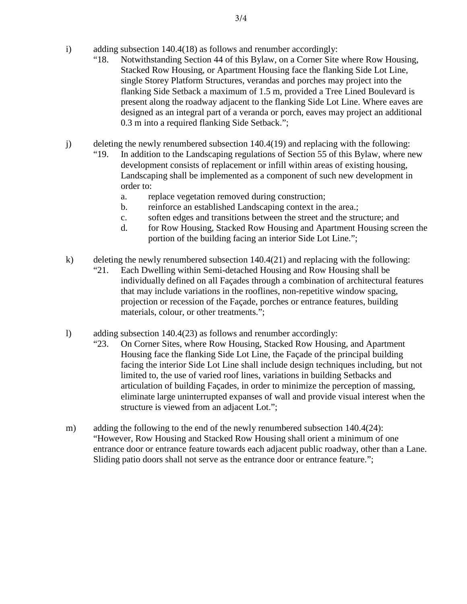- i) adding subsection 140.4(18) as follows and renumber accordingly:
	- "18. Notwithstanding Section 44 of this Bylaw, on a Corner Site where Row Housing, Stacked Row Housing, or Apartment Housing face the flanking Side Lot Line, single Storey Platform Structures, verandas and porches may project into the flanking Side Setback a maximum of 1.5 m, provided a Tree Lined Boulevard is present along the roadway adjacent to the flanking Side Lot Line. Where eaves are designed as an integral part of a veranda or porch, eaves may project an additional 0.3 m into a required flanking Side Setback.";
- j) deleting the newly renumbered subsection 140.4(19) and replacing with the following:
	- "19. In addition to the Landscaping regulations of Section 55 of this Bylaw, where new development consists of replacement or infill within areas of existing housing, Landscaping shall be implemented as a component of such new development in order to:
		- a. replace vegetation removed during construction;
		- b. reinforce an established Landscaping context in the area.;
		- c. soften edges and transitions between the street and the structure; and
		- d. for Row Housing, Stacked Row Housing and Apartment Housing screen the portion of the building facing an interior Side Lot Line.";
- k) deleting the newly renumbered subsection 140.4(21) and replacing with the following:
	- "21. Each Dwelling within Semi-detached Housing and Row Housing shall be individually defined on all Façades through a combination of architectural features that may include variations in the rooflines, non-repetitive window spacing, projection or recession of the Façade, porches or entrance features, building materials, colour, or other treatments.";
- l) adding subsection 140.4(23) as follows and renumber accordingly:
	- "23. On Corner Sites, where Row Housing, Stacked Row Housing, and Apartment Housing face the flanking Side Lot Line, the Façade of the principal building facing the interior Side Lot Line shall include design techniques including, but not limited to, the use of varied roof lines, variations in building Setbacks and articulation of building Façades, in order to minimize the perception of massing, eliminate large uninterrupted expanses of wall and provide visual interest when the structure is viewed from an adjacent Lot.";
- m) adding the following to the end of the newly renumbered subsection 140.4(24): "However, Row Housing and Stacked Row Housing shall orient a minimum of one entrance door or entrance feature towards each adjacent public roadway, other than a Lane. Sliding patio doors shall not serve as the entrance door or entrance feature.";